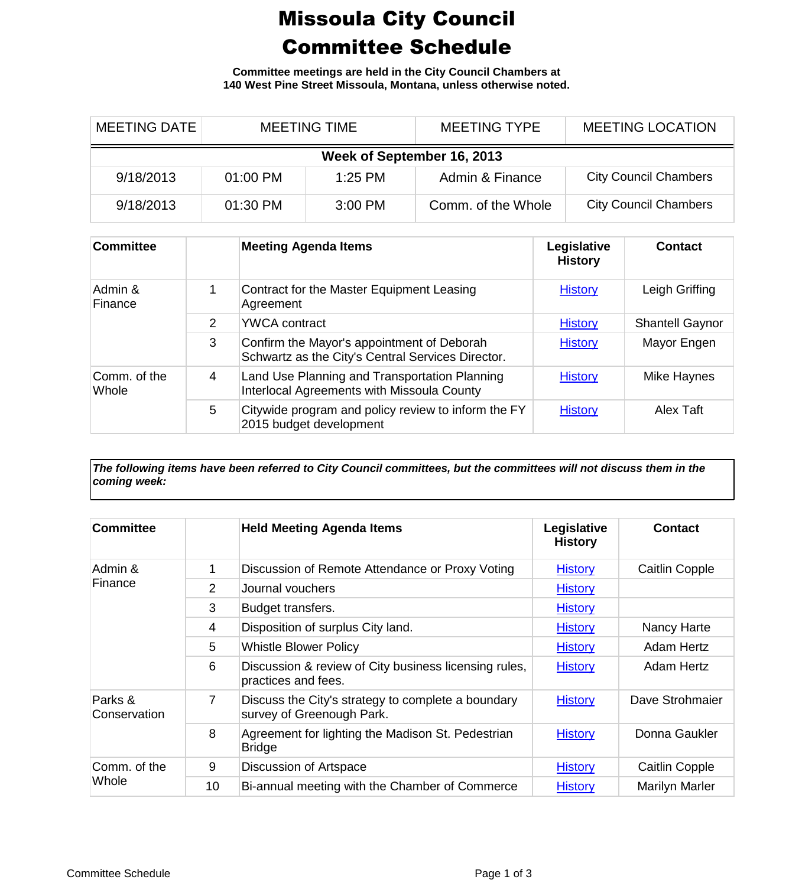## Missoula City Council Committee Schedule

**Committee meetings are held in the City Council Chambers at 140 West Pine Street Missoula, Montana, unless otherwise noted.**

| MEETING DATE               | <b>MEETING TIME</b> |           | <b>MEETING TYPE</b> | <b>MEETING LOCATION</b>      |  |
|----------------------------|---------------------|-----------|---------------------|------------------------------|--|
| Week of September 16, 2013 |                     |           |                     |                              |  |
| 9/18/2013                  | $01:00$ PM          | 1:25 PM   | Admin & Finance     | <b>City Council Chambers</b> |  |
| 9/18/2013                  | $01:30$ PM          | $3:00$ PM | Comm. of the Whole  | <b>City Council Chambers</b> |  |

| <b>Committee</b>      |   | <b>Meeting Agenda Items</b>                                                                     | Legislative<br><b>History</b> | Contact                |
|-----------------------|---|-------------------------------------------------------------------------------------------------|-------------------------------|------------------------|
| Admin &<br>Finance    |   | Contract for the Master Equipment Leasing<br>Agreement                                          | <b>History</b>                | Leigh Griffing         |
|                       | 2 | <b>YWCA contract</b>                                                                            | <b>History</b>                | <b>Shantell Gaynor</b> |
|                       | 3 | Confirm the Mayor's appointment of Deborah<br>Schwartz as the City's Central Services Director. | <b>History</b>                | Mayor Engen            |
| Comm. of the<br>Whole | 4 | Land Use Planning and Transportation Planning<br>Interlocal Agreements with Missoula County     | <b>History</b>                | Mike Haynes            |
|                       | 5 | Citywide program and policy review to inform the FY<br>2015 budget development                  | <b>History</b>                | Alex Taft              |

*The following items have been referred to City Council committees, but the committees will not discuss them in the coming week:*

| <b>Committee</b>        |    | <b>Held Meeting Agenda Items</b>                                                | Legislative<br><b>History</b> | <b>Contact</b>        |
|-------------------------|----|---------------------------------------------------------------------------------|-------------------------------|-----------------------|
| Admin &<br>Finance      | 1  | Discussion of Remote Attendance or Proxy Voting                                 | <b>History</b>                | <b>Caitlin Copple</b> |
|                         | 2  | Journal vouchers                                                                | <b>History</b>                |                       |
|                         | 3  | Budget transfers.                                                               | <b>History</b>                |                       |
|                         | 4  | Disposition of surplus City land.                                               | <b>History</b>                | <b>Nancy Harte</b>    |
|                         | 5  | <b>Whistle Blower Policy</b>                                                    | <b>History</b>                | Adam Hertz            |
|                         | 6  | Discussion & review of City business licensing rules,<br>practices and fees.    | <b>History</b>                | Adam Hertz            |
| Parks &<br>Conservation | 7  | Discuss the City's strategy to complete a boundary<br>survey of Greenough Park. | <b>History</b>                | Dave Strohmaier       |
|                         | 8  | Agreement for lighting the Madison St. Pedestrian<br><b>Bridge</b>              | <b>History</b>                | Donna Gaukler         |
| Comm. of the<br>Whole   | 9  | Discussion of Artspace                                                          | <b>History</b>                | <b>Caitlin Copple</b> |
|                         | 10 | Bi-annual meeting with the Chamber of Commerce                                  | <b>History</b>                | <b>Marilyn Marler</b> |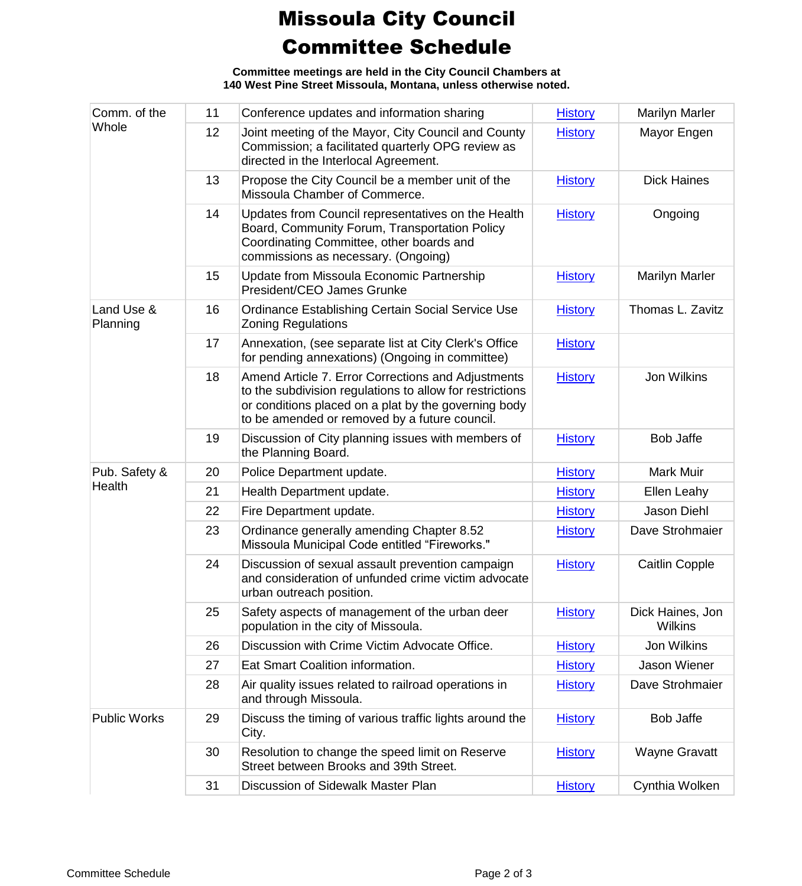## Missoula City Council Committee Schedule

**Committee meetings are held in the City Council Chambers at 140 West Pine Street Missoula, Montana, unless otherwise noted.**

| Comm. of the<br>Whole   | 11 | Conference updates and information sharing                                                                                                                                                                              | <b>History</b> | <b>Marilyn Marler</b>              |
|-------------------------|----|-------------------------------------------------------------------------------------------------------------------------------------------------------------------------------------------------------------------------|----------------|------------------------------------|
|                         | 12 | Joint meeting of the Mayor, City Council and County<br>Commission; a facilitated quarterly OPG review as<br>directed in the Interlocal Agreement.                                                                       | <b>History</b> | Mayor Engen                        |
|                         | 13 | Propose the City Council be a member unit of the<br>Missoula Chamber of Commerce.                                                                                                                                       | <b>History</b> | <b>Dick Haines</b>                 |
|                         | 14 | Updates from Council representatives on the Health<br>Board, Community Forum, Transportation Policy<br>Coordinating Committee, other boards and<br>commissions as necessary. (Ongoing)                                  | <b>History</b> | Ongoing                            |
|                         | 15 | Update from Missoula Economic Partnership<br>President/CEO James Grunke                                                                                                                                                 | <b>History</b> | <b>Marilyn Marler</b>              |
| Land Use &<br>Planning  | 16 | <b>Ordinance Establishing Certain Social Service Use</b><br><b>Zoning Regulations</b>                                                                                                                                   | <b>History</b> | Thomas L. Zavitz                   |
|                         | 17 | Annexation, (see separate list at City Clerk's Office<br>for pending annexations) (Ongoing in committee)                                                                                                                | <b>History</b> |                                    |
|                         | 18 | Amend Article 7. Error Corrections and Adjustments<br>to the subdivision regulations to allow for restrictions<br>or conditions placed on a plat by the governing body<br>to be amended or removed by a future council. | <b>History</b> | Jon Wilkins                        |
|                         | 19 | Discussion of City planning issues with members of<br>the Planning Board.                                                                                                                                               | <b>History</b> | <b>Bob Jaffe</b>                   |
| Pub. Safety &<br>Health | 20 | Police Department update.                                                                                                                                                                                               | <b>History</b> | Mark Muir                          |
|                         | 21 | Health Department update.                                                                                                                                                                                               | <b>History</b> | Ellen Leahy                        |
|                         | 22 | Fire Department update.                                                                                                                                                                                                 | <b>History</b> | Jason Diehl                        |
|                         | 23 | Ordinance generally amending Chapter 8.52<br>Missoula Municipal Code entitled "Fireworks."                                                                                                                              | <b>History</b> | Dave Strohmaier                    |
|                         | 24 | Discussion of sexual assault prevention campaign<br>and consideration of unfunded crime victim advocate<br>urban outreach position.                                                                                     | <b>History</b> | Caitlin Copple                     |
|                         | 25 | Safety aspects of management of the urban deer<br>population in the city of Missoula.                                                                                                                                   | <b>History</b> | Dick Haines, Jon<br><b>Wilkins</b> |
|                         | 26 | Discussion with Crime Victim Advocate Office.                                                                                                                                                                           | <b>History</b> | Jon Wilkins                        |
|                         | 27 | Eat Smart Coalition information.                                                                                                                                                                                        | <b>History</b> | Jason Wiener                       |
|                         | 28 | Air quality issues related to railroad operations in<br>and through Missoula.                                                                                                                                           | <b>History</b> | Dave Strohmaier                    |
| <b>Public Works</b>     | 29 | Discuss the timing of various traffic lights around the<br>City.                                                                                                                                                        | <b>History</b> | <b>Bob Jaffe</b>                   |
|                         | 30 | Resolution to change the speed limit on Reserve<br>Street between Brooks and 39th Street.                                                                                                                               | <b>History</b> | <b>Wayne Gravatt</b>               |
|                         | 31 | Discussion of Sidewalk Master Plan                                                                                                                                                                                      | <b>History</b> | Cynthia Wolken                     |